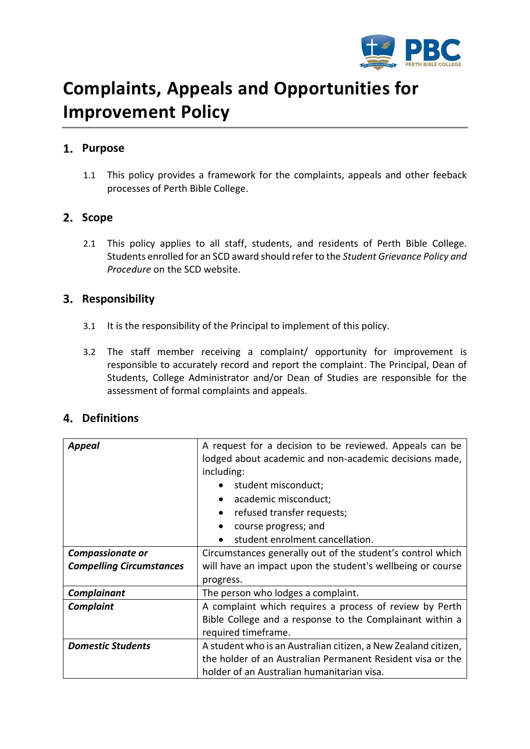

# **Complaints, Appeals and Opportunities for Improvement Policy**

## **Purpose**

1.1 This policy provides a framework for the complaints, appeals and other feeback processes of Perth Bible College.

## 2. Scope

2.1 This policy applies to all staff, students, and residents of Perth Bible College. Students enrolled for an SCD award should refer to the *Student Grievance Policy and Procedure* on the SCD website.

### **Responsibility**

- 3.1 It is the responsibility of the Principal to implement of this policy.
- 3.2 The staff member receiving a complaint/ opportunity for improvement is responsible to accurately record and report the complaint. The Principal, Dean of Students, College Administrator and/or Dean of Studies are responsible for the assessment of formal complaints and appeals.

## **Definitions**

| <b>Appeal</b>                   | A request for a decision to be reviewed. Appeals can be        |  |  |  |
|---------------------------------|----------------------------------------------------------------|--|--|--|
|                                 | lodged about academic and non-academic decisions made,         |  |  |  |
|                                 | including:                                                     |  |  |  |
|                                 | student misconduct;                                            |  |  |  |
|                                 | academic misconduct;                                           |  |  |  |
|                                 | refused transfer requests;                                     |  |  |  |
|                                 | course progress; and                                           |  |  |  |
|                                 | student enrolment cancellation.                                |  |  |  |
| <b>Compassionate or</b>         | Circumstances generally out of the student's control which     |  |  |  |
| <b>Compelling Circumstances</b> | will have an impact upon the student's wellbeing or course     |  |  |  |
|                                 | progress.                                                      |  |  |  |
| Complainant                     | The person who lodges a complaint.                             |  |  |  |
| <b>Complaint</b>                | A complaint which requires a process of review by Perth        |  |  |  |
|                                 | Bible College and a response to the Complainant within a       |  |  |  |
|                                 | required timeframe.                                            |  |  |  |
| <b>Domestic Students</b>        | A student who is an Australian citizen, a New Zealand citizen, |  |  |  |
|                                 | the holder of an Australian Permanent Resident visa or the     |  |  |  |
|                                 | holder of an Australian humanitarian visa.                     |  |  |  |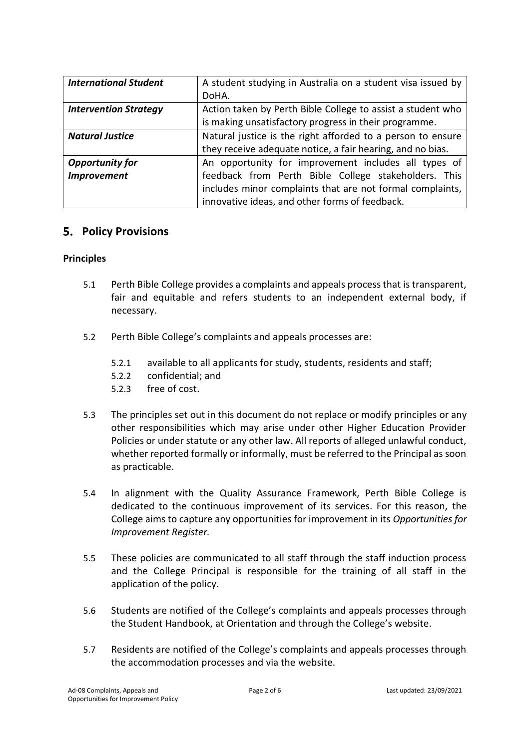| <b>International Student</b> | A student studying in Australia on a student visa issued by |  |  |
|------------------------------|-------------------------------------------------------------|--|--|
|                              | DoHA.                                                       |  |  |
| <b>Intervention Strategy</b> | Action taken by Perth Bible College to assist a student who |  |  |
|                              | is making unsatisfactory progress in their programme.       |  |  |
| <b>Natural Justice</b>       | Natural justice is the right afforded to a person to ensure |  |  |
|                              | they receive adequate notice, a fair hearing, and no bias.  |  |  |
| <b>Opportunity for</b>       | An opportunity for improvement includes all types of        |  |  |
| <b>Improvement</b>           | feedback from Perth Bible College stakeholders. This        |  |  |
|                              | includes minor complaints that are not formal complaints,   |  |  |
|                              | innovative ideas, and other forms of feedback.              |  |  |

## **5. Policy Provisions**

#### **Principles**

- 5.1 Perth Bible College provides a complaints and appeals process that is transparent, fair and equitable and refers students to an independent external body, if necessary.
- 5.2 Perth Bible College's complaints and appeals processes are:
	- 5.2.1 available to all applicants for study, students, residents and staff;
	- 5.2.2 confidential; and
	- 5.2.3 free of cost.
- 5.3 The principles set out in this document do not replace or modify principles or any other responsibilities which may arise under other Higher Education Provider Policies or under statute or any other law. All reports of alleged unlawful conduct, whether reported formally or informally, must be referred to the Principal as soon as practicable.
- 5.4 In alignment with the Quality Assurance Framework, Perth Bible College is dedicated to the continuous improvement of its services. For this reason, the College aims to capture any opportunities for improvement in its *Opportunities for Improvement Register.*
- 5.5 These policies are communicated to all staff through the staff induction process and the College Principal is responsible for the training of all staff in the application of the policy.
- 5.6 Students are notified of the College's complaints and appeals processes through the Student Handbook, at Orientation and through the College's website.
- 5.7 Residents are notified of the College's complaints and appeals processes through the accommodation processes and via the website.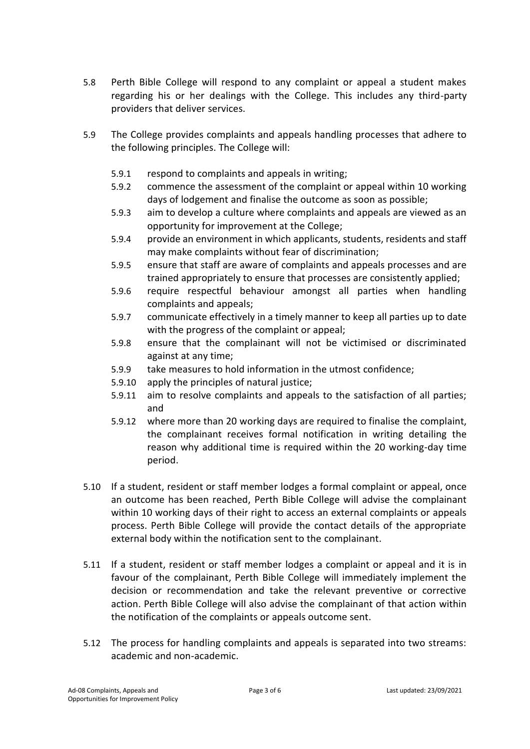- 5.8 Perth Bible College will respond to any complaint or appeal a student makes regarding his or her dealings with the College. This includes any third-party providers that deliver services.
- 5.9 The College provides complaints and appeals handling processes that adhere to the following principles. The College will:
	- 5.9.1 respond to complaints and appeals in writing;
	- 5.9.2 commence the assessment of the complaint or appeal within 10 working days of lodgement and finalise the outcome as soon as possible;
	- 5.9.3 aim to develop a culture where complaints and appeals are viewed as an opportunity for improvement at the College;
	- 5.9.4 provide an environment in which applicants, students, residents and staff may make complaints without fear of discrimination;
	- 5.9.5 ensure that staff are aware of complaints and appeals processes and are trained appropriately to ensure that processes are consistently applied;
	- 5.9.6 require respectful behaviour amongst all parties when handling complaints and appeals;
	- 5.9.7 communicate effectively in a timely manner to keep all parties up to date with the progress of the complaint or appeal;
	- 5.9.8 ensure that the complainant will not be victimised or discriminated against at any time;
	- 5.9.9 take measures to hold information in the utmost confidence;
	- 5.9.10 apply the principles of natural justice;
	- 5.9.11 aim to resolve complaints and appeals to the satisfaction of all parties; and
	- 5.9.12 where more than 20 working days are required to finalise the complaint, the complainant receives formal notification in writing detailing the reason why additional time is required within the 20 working-day time period.
- 5.10 If a student, resident or staff member lodges a formal complaint or appeal, once an outcome has been reached, Perth Bible College will advise the complainant within 10 working days of their right to access an external complaints or appeals process. Perth Bible College will provide the contact details of the appropriate external body within the notification sent to the complainant.
- 5.11 If a student, resident or staff member lodges a complaint or appeal and it is in favour of the complainant, Perth Bible College will immediately implement the decision or recommendation and take the relevant preventive or corrective action. Perth Bible College will also advise the complainant of that action within the notification of the complaints or appeals outcome sent.
- 5.12 The process for handling complaints and appeals is separated into two streams: academic and non-academic.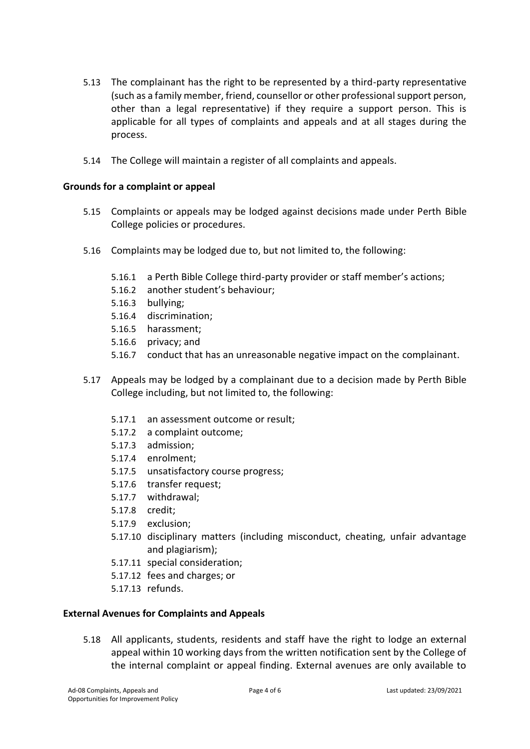- 5.13 The complainant has the right to be represented by a third-party representative (such as a family member, friend, counsellor or other professional support person, other than a legal representative) if they require a support person. This is applicable for all types of complaints and appeals and at all stages during the process.
- 5.14 The College will maintain a register of all complaints and appeals.

#### **Grounds for a complaint or appeal**

- 5.15 Complaints or appeals may be lodged against decisions made under Perth Bible College policies or procedures.
- 5.16 Complaints may be lodged due to, but not limited to, the following:
	- 5.16.1 a Perth Bible College third-party provider or staff member's actions;
	- 5.16.2 another student's behaviour;
	- 5.16.3 bullying;
	- 5.16.4 discrimination;
	- 5.16.5 harassment;
	- 5.16.6 privacy; and
	- 5.16.7 conduct that has an unreasonable negative impact on the complainant.
- 5.17 Appeals may be lodged by a complainant due to a decision made by Perth Bible College including, but not limited to, the following:
	- 5.17.1 an assessment outcome or result;
	- 5.17.2 a complaint outcome;
	- 5.17.3 admission;
	- 5.17.4 enrolment;
	- 5.17.5 unsatisfactory course progress;
	- 5.17.6 transfer request;
	- 5.17.7 withdrawal;
	- 5.17.8 credit;
	- 5.17.9 exclusion;
	- 5.17.10 disciplinary matters (including misconduct, cheating, unfair advantage and plagiarism);
	- 5.17.11 special consideration;
	- 5.17.12 fees and charges; or
	- 5.17.13 refunds.

#### **External Avenues for Complaints and Appeals**

5.18 All applicants, students, residents and staff have the right to lodge an external appeal within 10 working days from the written notification sent by the College of the internal complaint or appeal finding. External avenues are only available to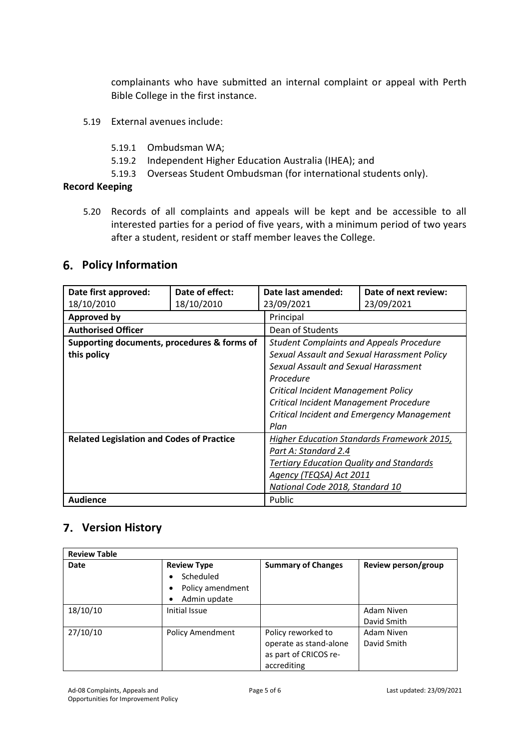complainants who have submitted an internal complaint or appeal with Perth Bible College in the first instance.

- 5.19 External avenues include:
	- 5.19.1 Ombudsman WA;
	- 5.19.2 Independent Higher Education Australia (IHEA); and
	- 5.19.3 Overseas Student Ombudsman (for international students only).

#### **Record Keeping**

5.20 Records of all complaints and appeals will be kept and be accessible to all interested parties for a period of five years, with a minimum period of two years after a student, resident or staff member leaves the College.

## **Policy Information**

| Date first approved:                             | Date of effect: | Date last amended:                              | Date of next review: |  |
|--------------------------------------------------|-----------------|-------------------------------------------------|----------------------|--|
| 18/10/2010                                       | 18/10/2010      | 23/09/2021                                      | 23/09/2021           |  |
| <b>Approved by</b>                               |                 | Principal                                       |                      |  |
| <b>Authorised Officer</b>                        |                 | Dean of Students                                |                      |  |
| Supporting documents, procedures & forms of      |                 | <b>Student Complaints and Appeals Procedure</b> |                      |  |
| this policy                                      |                 | Sexual Assault and Sexual Harassment Policy     |                      |  |
|                                                  |                 | Sexual Assault and Sexual Harassment            |                      |  |
|                                                  |                 | Procedure                                       |                      |  |
|                                                  |                 | Critical Incident Management Policy             |                      |  |
|                                                  |                 | Critical Incident Management Procedure          |                      |  |
|                                                  |                 | Critical Incident and Emergency Management      |                      |  |
|                                                  |                 | Plan                                            |                      |  |
| <b>Related Legislation and Codes of Practice</b> |                 | Higher Education Standards Framework 2015,      |                      |  |
|                                                  |                 | Part A: Standard 2.4                            |                      |  |
|                                                  |                 | <b>Tertiary Education Quality and Standards</b> |                      |  |
|                                                  |                 | Agency (TEQSA) Act 2011                         |                      |  |
|                                                  |                 | National Code 2018, Standard 10                 |                      |  |
| <b>Audience</b>                                  |                 | Public                                          |                      |  |

## **Version History**

| <b>Review Table</b> |                                                                                                    |                                                                                      |                           |  |
|---------------------|----------------------------------------------------------------------------------------------------|--------------------------------------------------------------------------------------|---------------------------|--|
| <b>Date</b>         | <b>Review Type</b><br>Scheduled<br>$\bullet$<br>Policy amendment<br>$\bullet$<br>Admin update<br>٠ | <b>Summary of Changes</b>                                                            | Review person/group       |  |
| 18/10/10            | Initial Issue                                                                                      |                                                                                      | Adam Niven<br>David Smith |  |
| 27/10/10            | <b>Policy Amendment</b>                                                                            | Policy reworked to<br>operate as stand-alone<br>as part of CRICOS re-<br>accrediting | Adam Niven<br>David Smith |  |